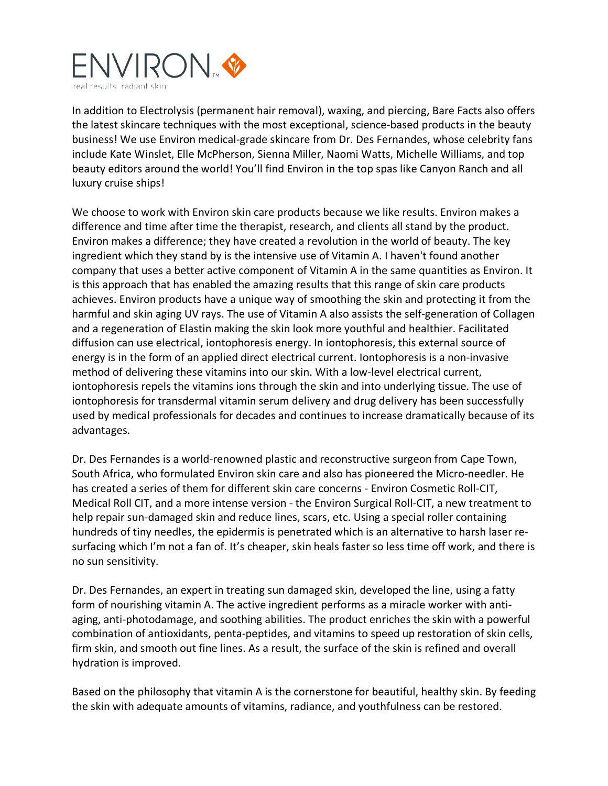

In addition to Electrolysis (permanent hair removal), waxing, and piercing, Bare Facts also offers the latest skincare techniques with the most exceptional, science-based products in the beauty business! We use Environ medical-grade skincare from Dr. Des Fernandes, whose celebrity fans include Kate Winslet, Elle McPherson, Sienna Miller, Naomi Watts, Michelle Williams, and top beauty editors around the world! You'll find Environ in the top spas like Canyon Ranch and all luxury cruise ships!

We choose to work with Environ skin care products because we like results. Environ makes a difference and time after time the therapist, research, and clients all stand by the product. Environ makes a difference; they have created a revolution in the world of beauty. The key ingredient which they stand by is the intensive use of Vitamin A. I haven't found another company that uses a better active component of Vitamin A in the same quantities as Environ. It is this approach that has enabled the amazing results that this range of skin care products achieves. Environ products have a unique way of smoothing the skin and protecting it from the harmful and skin aging UV rays. The use of Vitamin A also assists the self-generation of Collagen and a regeneration of Elastin making the skin look more youthful and healthier. Facilitated diffusion can use electrical, iontophoresis energy. In iontophoresis, this external source of energy is in the form of an applied direct electrical current. Iontophoresis is a non-invasive method of delivering these vitamins into our skin. With a low-level electrical current, iontophoresis repels the vitamins ions through the skin and into underlying tissue. The use of iontophoresis for transdermal vitamin serum delivery and drug delivery has been successfully used by medical professionals for decades and continues to increase dramatically because of its advantages.

Dr. Des Fernandes is a world-renowned plastic and reconstructive surgeon from Cape Town, South Africa, who formulated Environ skin care and also has pioneered the Micro-needler. He has created a series of them for different skin care concerns - Environ Cosmetic Roll-CIT, Medical Roll CIT, and a more intense version - the Environ Surgical Roll-CIT, a new treatment to help repair sun-damaged skin and reduce lines, scars, etc. Using a special roller containing hundreds of tiny needles, the epidermis is penetrated which is an alternative to harsh laser resurfacing which I'm not a fan of. It's cheaper, skin heals faster so less time off work, and there is no sun sensitivity.

Dr. Des Fernandes, an expert in treating sun damaged skin, developed the line, using a fatty form of nourishing vitamin A. The active ingredient performs as a miracle worker with antiaging, anti-photodamage, and soothing abilities. The product enriches the skin with a powerful combination of antioxidants, penta-peptides, and vitamins to speed up restoration of skin cells, firm skin, and smooth out fine lines. As a result, the surface of the skin is refined and overall hydration is improved.

Based on the philosophy that vitamin A is the cornerstone for beautiful, healthy skin. By feeding the skin with adequate amounts of vitamins, radiance, and youthfulness can be restored.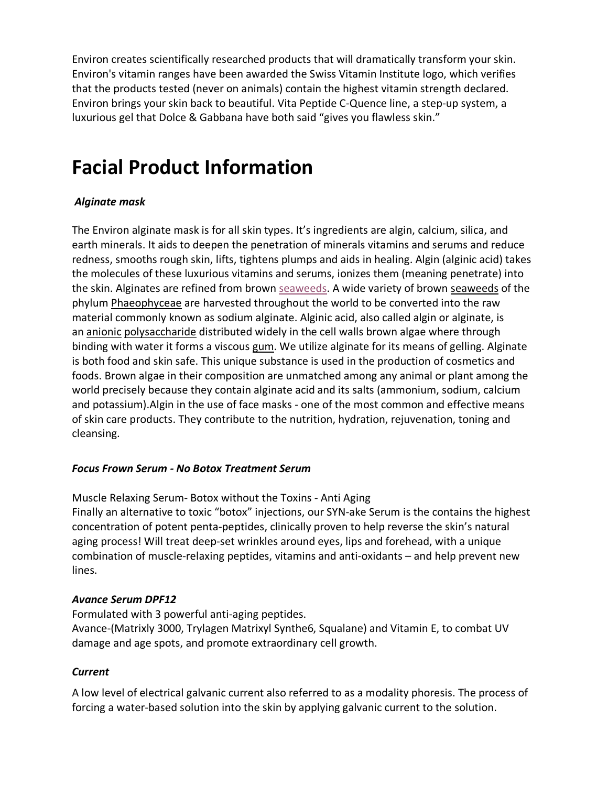Environ creates scientifically researched products that will dramatically transform your skin. Environ's vitamin ranges have been awarded the Swiss Vitamin Institute logo, which verifies that the products tested (never on animals) contain the highest vitamin strength declared. Environ brings your skin back to beautiful. Vita Peptide C-Quence line, a step-up system, a luxurious gel that Dolce & Gabbana have both said "gives you flawless skin."

# **Facial Product Information**

## *Alginate mask*

The Environ alginate mask is for all skin types. It's ingredients are algin, calcium, silica, and earth minerals. It aids to deepen the penetration of minerals vitamins and serums and reduce redness, smooths rough skin, lifts, tightens plumps and aids in healing. Algin (alginic acid) takes the molecules of these luxurious vitamins and serums, ionizes them (meaning penetrate) into the skin. Alginates are refined from brown seaweeds. A wide variety of brown seaweeds of the phylum Phaeophyceae are harvested throughout the world to be converted into the raw material commonly known as sodium alginate. Alginic acid, also called algin or alginate, is an anionic polysaccharide distributed widely in the cell walls brown algae where through binding with water it forms a viscous gum. We utilize alginate for its means of gelling. Alginate is both food and skin safe. This unique substance is used in the production of cosmetics and foods. Brown algae in their composition are unmatched among any animal or plant among the world precisely because they contain alginate acid and its salts (ammonium, sodium, calcium and potassium).Algin in the use of face masks - one of the most common and effective means of skin care products. They contribute to the nutrition, hydration, rejuvenation, toning and cleansing.

## *Focus Frown Serum - No Botox Treatment Serum*

Muscle Relaxing Serum- Botox without the Toxins - Anti Aging Finally an alternative to toxic "botox" injections, our SYN-ake Serum is the contains the highest concentration of potent penta-peptides, clinically proven to help reverse the skin's natural aging process! Will treat deep-set wrinkles around eyes, lips and forehead, with a unique combination of muscle-relaxing peptides, vitamins and anti-oxidants – and help prevent new lines.

### *Avance Serum DPF12*

Formulated with 3 powerful anti-aging peptides. Avance-(Matrixly 3000, Trylagen Matrixyl Synthe6, Squalane) and Vitamin E, to combat UV damage and age spots, and promote extraordinary cell growth.

## *Current*

A low level of electrical galvanic current also referred to as a modality phoresis. The process of forcing a water-based solution into the skin by applying galvanic current to the solution.